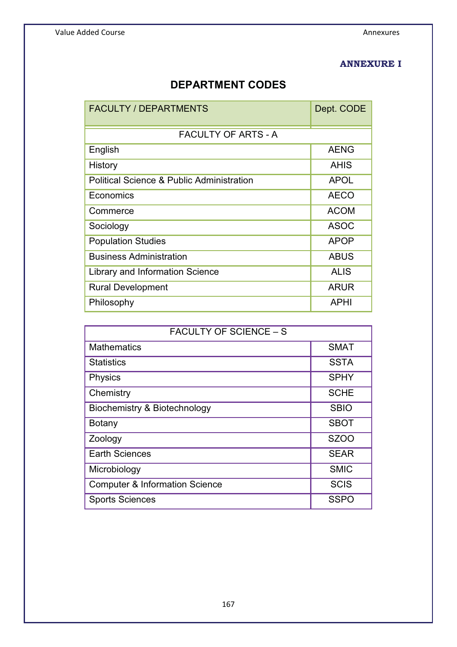### **ANNEXURE I**

# **DEPARTMENT CODES**

| <b>FACULTY / DEPARTMENTS</b>                         | Dept. CODE  |
|------------------------------------------------------|-------------|
| <b>FACULTY OF ARTS - A</b>                           |             |
| English                                              | <b>AENG</b> |
| History                                              | <b>AHIS</b> |
| <b>Political Science &amp; Public Administration</b> | <b>APOL</b> |
| Economics                                            | <b>AECO</b> |
| Commerce                                             | <b>ACOM</b> |
| Sociology                                            | <b>ASOC</b> |
| <b>Population Studies</b>                            | <b>APOP</b> |
| <b>Business Administration</b>                       | <b>ABUS</b> |
| Library and Information Science                      | <b>ALIS</b> |
| <b>Rural Development</b>                             | <b>ARUR</b> |
| Philosophy                                           | APHI        |

| <b>FACULTY OF SCIENCE - S</b>             |                   |  |  |  |
|-------------------------------------------|-------------------|--|--|--|
| <b>Mathematics</b>                        | <b>SMAT</b>       |  |  |  |
| <b>Statistics</b>                         | <b>SSTA</b>       |  |  |  |
| <b>Physics</b>                            | <b>SPHY</b>       |  |  |  |
| Chemistry                                 | <b>SCHE</b>       |  |  |  |
| <b>Biochemistry &amp; Biotechnology</b>   | <b>SBIO</b>       |  |  |  |
| <b>Botany</b>                             | <b>SBOT</b>       |  |  |  |
| Zoology                                   | SZ <sub>O</sub> O |  |  |  |
| <b>Earth Sciences</b>                     | <b>SEAR</b>       |  |  |  |
| Microbiology                              | <b>SMIC</b>       |  |  |  |
| <b>Computer &amp; Information Science</b> | <b>SCIS</b>       |  |  |  |
| <b>Sports Sciences</b>                    | <b>SSPO</b>       |  |  |  |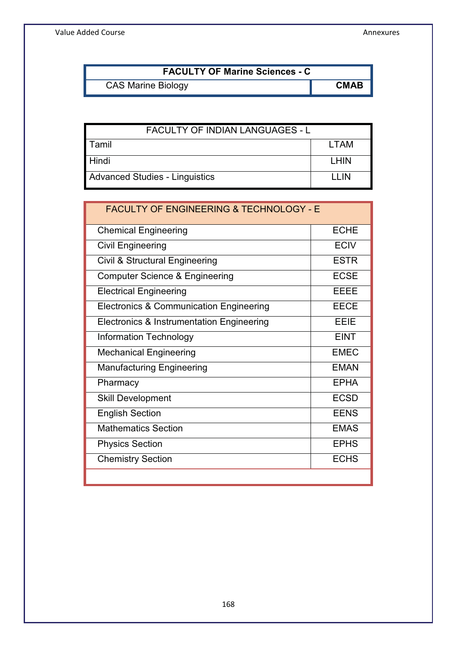Value Added Course **Annexures** Annexures **Annexures** 

| <b>FACULTY OF Marine Sciences - C</b> |             |
|---------------------------------------|-------------|
| <b>CAS Marine Biology</b>             | <b>CMAB</b> |

| <b>FACULTY OF INDIAN LANGUAGES - L</b> |        |  |
|----------------------------------------|--------|--|
| Tamil                                  | LTAM   |  |
| Hindi                                  | I HIN  |  |
| <b>Advanced Studies - Linguistics</b>  | I I IN |  |

| <b>FACULTY OF ENGINEERING &amp; TECHNOLOGY - E</b> |             |
|----------------------------------------------------|-------------|
| <b>Chemical Engineering</b>                        | <b>ECHE</b> |
| <b>Civil Engineering</b>                           | <b>ECIV</b> |
| Civil & Structural Engineering                     | <b>ESTR</b> |
| Computer Science & Engineering                     | <b>ECSE</b> |
| <b>Electrical Engineering</b>                      | EEEE        |
| Electronics & Communication Engineering            | <b>EECE</b> |
| Electronics & Instrumentation Engineering          | EEIE        |
| <b>Information Technology</b>                      | <b>EINT</b> |
| <b>Mechanical Engineering</b>                      | <b>EMEC</b> |
| <b>Manufacturing Engineering</b>                   | <b>EMAN</b> |
| Pharmacy                                           | <b>EPHA</b> |
| <b>Skill Development</b>                           | <b>ECSD</b> |
| <b>English Section</b>                             | <b>EENS</b> |
| <b>Mathematics Section</b>                         | <b>EMAS</b> |
| <b>Physics Section</b>                             | <b>EPHS</b> |
| <b>Chemistry Section</b>                           | <b>ECHS</b> |
|                                                    |             |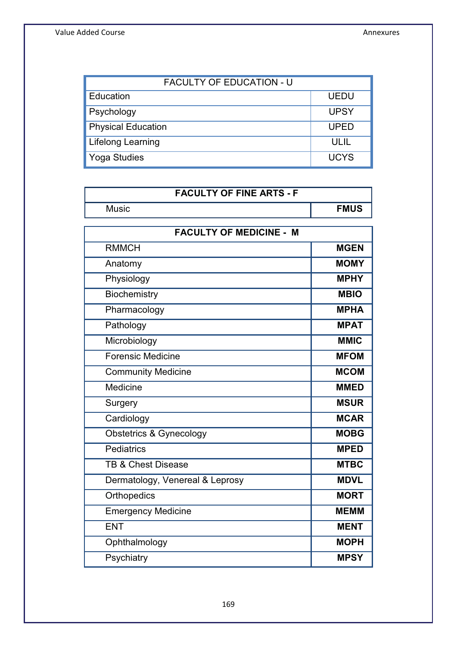| <b>FACULTY OF EDUCATION - U</b> |             |  |  |
|---------------------------------|-------------|--|--|
| Education                       | <b>UEDU</b> |  |  |
| Psychology                      | <b>UPSY</b> |  |  |
| <b>Physical Education</b>       | <b>UPED</b> |  |  |
| <b>Lifelong Learning</b>        | ULIL        |  |  |
| <b>Yoga Studies</b>             | <b>UCYS</b> |  |  |

| <b>FACULTY OF FINE ARTS - F</b>    |             |  |  |  |
|------------------------------------|-------------|--|--|--|
| <b>Music</b>                       | <b>FMUS</b> |  |  |  |
| <b>FACULTY OF MEDICINE - M</b>     |             |  |  |  |
| <b>RMMCH</b>                       | <b>MGEN</b> |  |  |  |
| Anatomy                            | <b>MOMY</b> |  |  |  |
| Physiology                         | <b>MPHY</b> |  |  |  |
| Biochemistry                       | <b>MBIO</b> |  |  |  |
| Pharmacology                       | <b>MPHA</b> |  |  |  |
| Pathology                          | <b>MPAT</b> |  |  |  |
| Microbiology                       | <b>MMIC</b> |  |  |  |
| <b>Forensic Medicine</b>           | <b>MFOM</b> |  |  |  |
| <b>Community Medicine</b>          | <b>MCOM</b> |  |  |  |
| <b>Medicine</b>                    | <b>MMED</b> |  |  |  |
| Surgery                            | <b>MSUR</b> |  |  |  |
| Cardiology                         | <b>MCAR</b> |  |  |  |
| <b>Obstetrics &amp; Gynecology</b> | <b>MOBG</b> |  |  |  |
| Pediatrics                         | <b>MPED</b> |  |  |  |
| <b>TB &amp; Chest Disease</b>      | <b>MTBC</b> |  |  |  |
| Dermatology, Venereal & Leprosy    | <b>MDVL</b> |  |  |  |
| Orthopedics                        | <b>MORT</b> |  |  |  |
| <b>Emergency Medicine</b>          | <b>MEMM</b> |  |  |  |
| <b>ENT</b>                         | <b>MENT</b> |  |  |  |
| Ophthalmology                      | <b>MOPH</b> |  |  |  |
| Psychiatry                         | <b>MPSY</b> |  |  |  |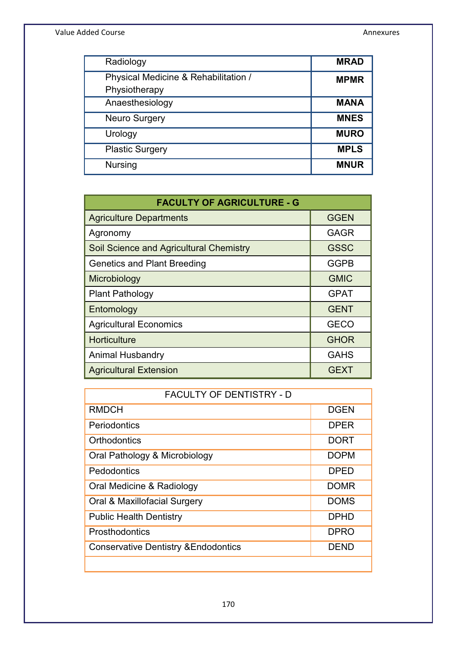| Radiology                            | <b>MRAD</b> |
|--------------------------------------|-------------|
| Physical Medicine & Rehabilitation / | <b>MPMR</b> |
| Physiotherapy                        |             |
| Anaesthesiology                      | <b>MANA</b> |
| <b>Neuro Surgery</b>                 | <b>MNES</b> |
| Urology                              | <b>MURO</b> |
| <b>Plastic Surgery</b>               | <b>MPLS</b> |
| <b>Nursing</b>                       | <b>MNUR</b> |

| <b>FACULTY OF AGRICULTURE - G</b>       |             |  |  |  |
|-----------------------------------------|-------------|--|--|--|
| <b>Agriculture Departments</b>          | <b>GGEN</b> |  |  |  |
| Agronomy                                | GAGR        |  |  |  |
| Soil Science and Agricultural Chemistry | <b>GSSC</b> |  |  |  |
| <b>Genetics and Plant Breeding</b>      | <b>GGPB</b> |  |  |  |
| Microbiology                            | <b>GMIC</b> |  |  |  |
| <b>Plant Pathology</b>                  | <b>GPAT</b> |  |  |  |
| Entomology                              | <b>GENT</b> |  |  |  |
| <b>Agricultural Economics</b>           | <b>GECO</b> |  |  |  |
| Horticulture                            | <b>GHOR</b> |  |  |  |
| Animal Husbandry                        | <b>GAHS</b> |  |  |  |
| <b>Agricultural Extension</b>           | <b>GEXT</b> |  |  |  |

| <b>FACULTY OF DENTISTRY - D</b>                 |             |  |  |  |
|-------------------------------------------------|-------------|--|--|--|
| <b>RMDCH</b>                                    | <b>DGEN</b> |  |  |  |
| Periodontics                                    | <b>DPER</b> |  |  |  |
| Orthodontics                                    | DORT        |  |  |  |
| Oral Pathology & Microbiology                   | <b>DOPM</b> |  |  |  |
| Pedodontics                                     | <b>DPED</b> |  |  |  |
| Oral Medicine & Radiology                       | <b>DOMR</b> |  |  |  |
| Oral & Maxillofacial Surgery                    | <b>DOMS</b> |  |  |  |
| <b>Public Health Dentistry</b>                  | DPHD        |  |  |  |
| Prosthodontics                                  | <b>DPRO</b> |  |  |  |
| <b>Conservative Dentistry &amp; Endodontics</b> | DEND        |  |  |  |
|                                                 |             |  |  |  |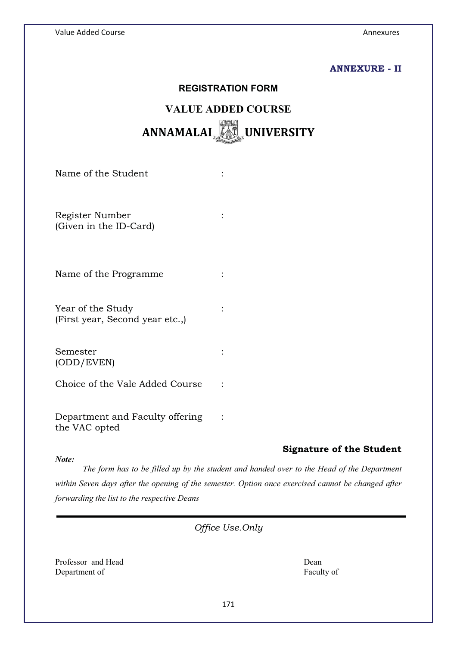## **ANNEXURE - II**

# **REGISTRATION FORM VALUE ADDED COURSE ANNAMALAI UNIVERSITY**

Name of the Student :  $\cdot$  :

Register Number : (Given in the ID-Card)

Name of the Programme :

Year of the Study :  $\cdot$  : (First year, Second year etc.,)

Semester : (ODD/EVEN)

Choice of the Vale Added Course :

Department and Faculty offering : the VAC opted

#### *Note:*

# **Signature of the Student**

*The form has to be filled up by the student and handed over to the Head of the Department within Seven days after the opening of the semester. Option once exercised cannot be changed after forwarding the list to the respective Deans*

*Office Use.Only* 

Professor and Head Dean Dean Dean Department of Faculty of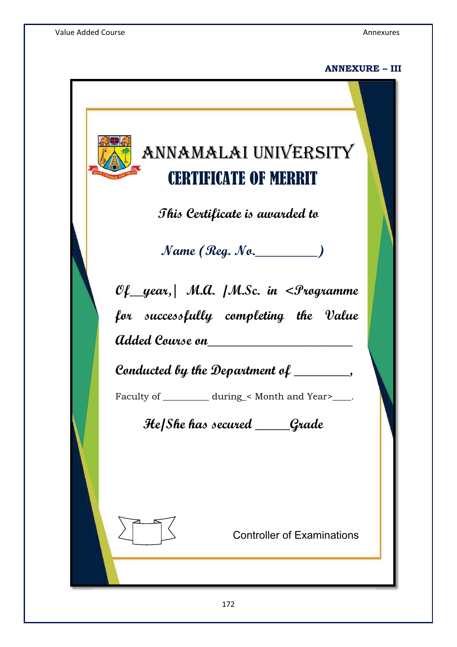# **ANNEXURE – III**

# ANNAMALAI UNIVERSITY ERTIFICATE OF MERRIT

**This Certificate is awarded to** 

**Name (Reg. No.\_\_\_\_\_\_\_\_\_)** 

**Of\_\_year,| M.A. /M.Sc. in <Programme for successfully completing the Value Added Course on\_\_\_\_\_\_\_\_\_\_\_\_\_\_\_\_\_\_\_\_\_** 

**Conducted by the Department of \_\_\_\_\_\_\_\_,** 

Faculty of \_\_\_\_\_\_\_\_\_\_\_ during\_< Month and Year>\_\_\_\_.

 **He/She has secured \_\_\_\_\_Grade** 



Controller of Examinations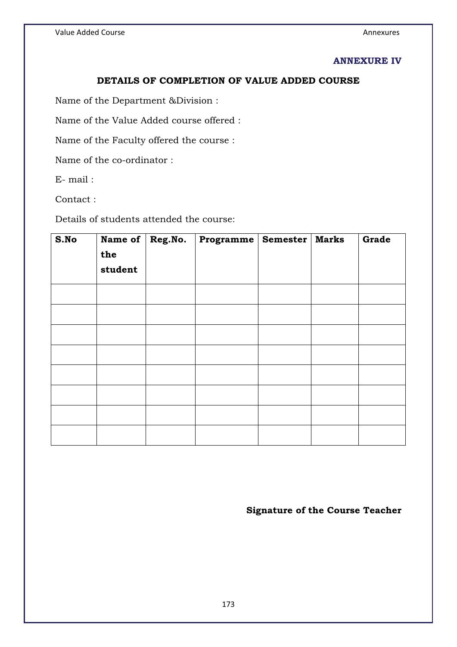## **ANNEXURE IV**

# **DETAILS OF COMPLETION OF VALUE ADDED COURSE**

Name of the Department &Division :

Name of the Value Added course offered :

Name of the Faculty offered the course :

Name of the co-ordinator :

E- mail :

Contact :

Details of students attended the course:

| S.No | Name of | Reg.No. | <b>Programme</b> | Semester   Marks | Grade |
|------|---------|---------|------------------|------------------|-------|
|      | the     |         |                  |                  |       |
|      | student |         |                  |                  |       |
|      |         |         |                  |                  |       |
|      |         |         |                  |                  |       |
|      |         |         |                  |                  |       |
|      |         |         |                  |                  |       |
|      |         |         |                  |                  |       |
|      |         |         |                  |                  |       |
|      |         |         |                  |                  |       |
|      |         |         |                  |                  |       |
|      |         |         |                  |                  |       |
|      |         |         |                  |                  |       |

**Signature of the Course Teacher**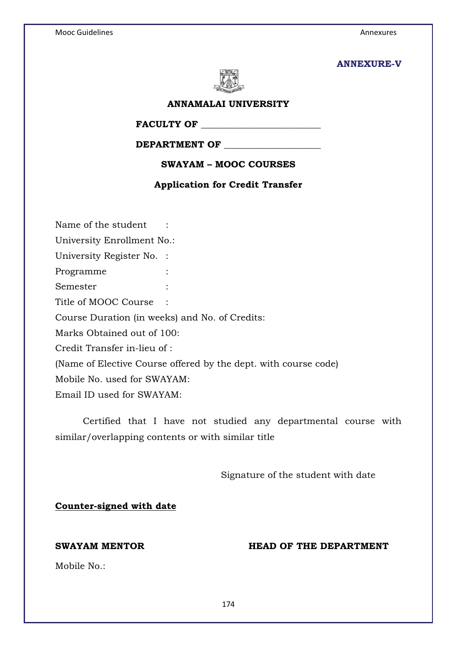#### **ANNEXURE-V**



#### **ANNAMALAI UNIVERSITY**

**FACULTY OF \_\_\_\_\_\_\_\_\_\_\_\_\_\_\_\_\_\_\_\_\_\_\_\_\_\_** 

# **DEPARTMENT OF \_\_\_\_\_\_\_\_\_\_\_\_\_\_\_\_\_\_\_\_\_**

**SWAYAM – MOOC COURSES** 

#### **Application for Credit Transfer**

Name of the student : University Enrollment No.: University Register No. : Programme : Semester : Title of MOOC Course : Course Duration (in weeks) and No. of Credits: Marks Obtained out of 100: Credit Transfer in-lieu of : (Name of Elective Course offered by the dept. with course code) Mobile No. used for SWAYAM: Email ID used for SWAYAM:

Certified that I have not studied any departmental course with similar/overlapping contents or with similar title

Signature of the student with date

#### **Counter-signed with date**

### **SWAYAM MENTOR THE DEPARTMENT**

Mobile No.: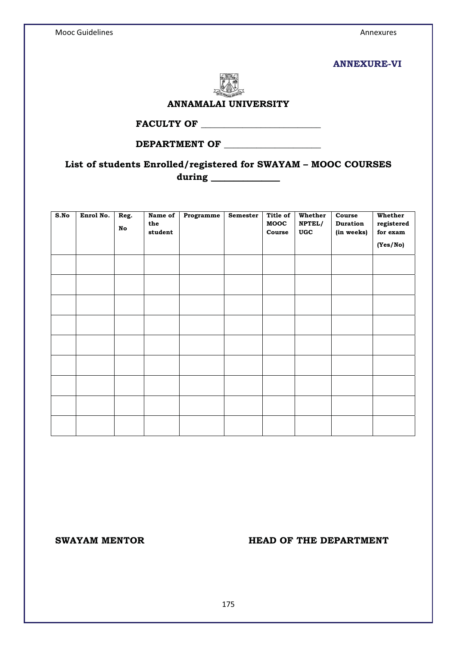#### **ANNEXURE-VI**



#### **ANNAMALAI UNIVERSITY**

**FACULTY OF \_\_\_\_\_\_\_\_\_\_\_\_\_\_\_\_\_\_\_\_\_\_\_\_\_\_** 

# **DEPARTMENT OF \_\_\_\_\_\_\_\_\_\_\_\_\_\_\_\_\_\_\_\_\_**

# **List of students Enrolled/registered for SWAYAM – MOOC COURSES during \_\_\_\_\_\_\_\_\_\_\_\_\_\_\_**

| S.No | Enrol No. | Reg.<br>No | Name of<br>the<br>student | Programme | Semester | Title of<br>MOOC<br>Course | Whether<br>NPTEL/<br>$\boldsymbol{\mathsf{UGC}}$ | Course<br><b>Duration</b><br>(in weeks) | Whether<br>registered<br>for exam<br>(Yes/No) |
|------|-----------|------------|---------------------------|-----------|----------|----------------------------|--------------------------------------------------|-----------------------------------------|-----------------------------------------------|
|      |           |            |                           |           |          |                            |                                                  |                                         |                                               |
|      |           |            |                           |           |          |                            |                                                  |                                         |                                               |
|      |           |            |                           |           |          |                            |                                                  |                                         |                                               |
|      |           |            |                           |           |          |                            |                                                  |                                         |                                               |
|      |           |            |                           |           |          |                            |                                                  |                                         |                                               |
|      |           |            |                           |           |          |                            |                                                  |                                         |                                               |
|      |           |            |                           |           |          |                            |                                                  |                                         |                                               |
|      |           |            |                           |           |          |                            |                                                  |                                         |                                               |
|      |           |            |                           |           |          |                            |                                                  |                                         |                                               |
|      |           |            |                           |           |          |                            |                                                  |                                         |                                               |

#### SWAYAM MENTOR **HEAD OF THE DEPARTMENT**